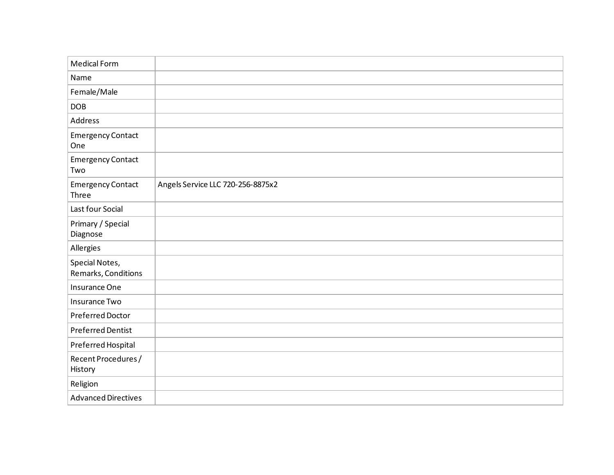| <b>Medical Form</b>                   |                                   |
|---------------------------------------|-----------------------------------|
| Name                                  |                                   |
| Female/Male                           |                                   |
| <b>DOB</b>                            |                                   |
| Address                               |                                   |
| <b>Emergency Contact</b><br>One       |                                   |
| <b>Emergency Contact</b><br>Two       |                                   |
| <b>Emergency Contact</b><br>Three     | Angels Service LLC 720-256-8875x2 |
| Last four Social                      |                                   |
| Primary / Special<br>Diagnose         |                                   |
| Allergies                             |                                   |
| Special Notes,<br>Remarks, Conditions |                                   |
| Insurance One                         |                                   |
| Insurance Two                         |                                   |
| Preferred Doctor                      |                                   |
| <b>Preferred Dentist</b>              |                                   |
| Preferred Hospital                    |                                   |
| Recent Procedures /<br>History        |                                   |
| Religion                              |                                   |
| <b>Advanced Directives</b>            |                                   |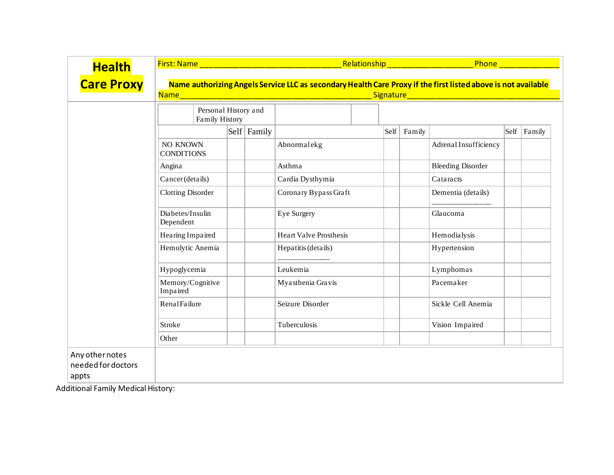| <b>Health</b>                                  | First: Name                                                                                                                               |  |                                     |                               |      | Phone<br>Relationship New York Processor |                          |      |        |
|------------------------------------------------|-------------------------------------------------------------------------------------------------------------------------------------------|--|-------------------------------------|-------------------------------|------|------------------------------------------|--------------------------|------|--------|
| <b>Care Proxy</b>                              | Name authorizing Angels Service LLC as secondary Health Care Proxy if the first listed above is not available<br><b>Name</b><br>Signature |  |                                     |                               |      |                                          |                          |      |        |
|                                                | Personal History and<br><b>Family History</b>                                                                                             |  |                                     |                               |      |                                          |                          |      |        |
|                                                |                                                                                                                                           |  | $\left  \text{Self} \right $ Family |                               | Self | Family                                   |                          | Self | Family |
|                                                | NO KNOWN<br><b>CONDITIONS</b>                                                                                                             |  |                                     | Abnormalekg                   |      |                                          | Adrenal Insufficiency    |      |        |
|                                                | Angina                                                                                                                                    |  |                                     | Asthma                        |      |                                          | <b>Bleeding Disorder</b> |      |        |
|                                                | Cancer (details)                                                                                                                          |  |                                     | Cardia Dysthymia              |      |                                          | Cataracts                |      |        |
|                                                | <b>Clotting Disorder</b>                                                                                                                  |  |                                     | Coronary Bypass Graft         |      |                                          | Dementia (details)       |      |        |
|                                                | Diabetes/Insulin<br>Dependent                                                                                                             |  |                                     | <b>Eye Surgery</b>            |      |                                          | Glaucoma                 |      |        |
|                                                | Hearing Impaired                                                                                                                          |  |                                     | <b>Heart Valve Prosthesis</b> |      |                                          | Hemodialysis             |      |        |
|                                                | Hemolytic Anemia                                                                                                                          |  |                                     | Hepatitis (details)           |      |                                          | Hypertension             |      |        |
|                                                | Hypoglycemia                                                                                                                              |  |                                     | Leukemia                      |      |                                          | Lymphomas                |      |        |
|                                                | Memory/Cognitive<br>Impaired                                                                                                              |  |                                     | Myasthenia Gravis             |      |                                          | Pacemaker                |      |        |
|                                                | Renal Failure                                                                                                                             |  |                                     | Seizure Disorder              |      |                                          | Sickle Cell Anemia       |      |        |
|                                                | Stroke                                                                                                                                    |  |                                     | Tuberculosis                  |      |                                          | Vision Impaired          |      |        |
|                                                | Other                                                                                                                                     |  |                                     |                               |      |                                          |                          |      |        |
| Any other notes<br>needed for doctors<br>appts |                                                                                                                                           |  |                                     |                               |      |                                          |                          |      |        |

Additional Family Medical History: